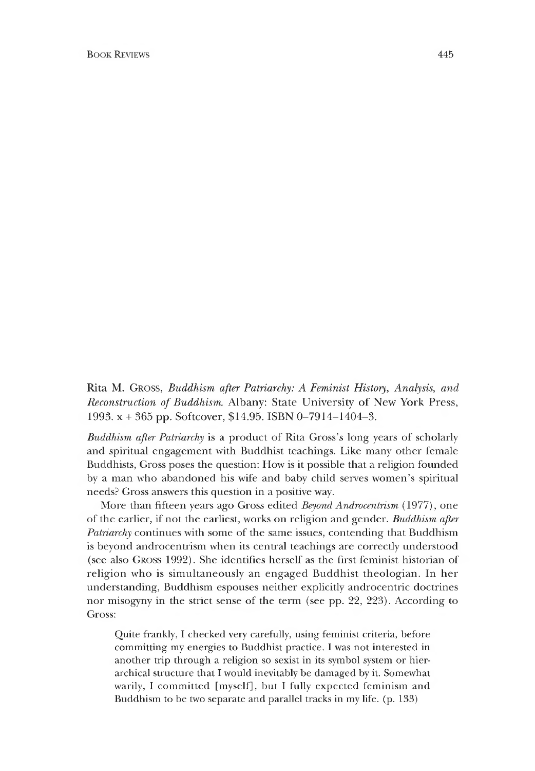Rita M. GROSS, *Buddhism after Patriarchy: A Feminist History, Analysis, and Reconstruction of Buddhism.* Albany: State University of New York Press, 1993.  $x + 365$  pp. Softcover, \$14.95. ISBN 0-7914-1404-3.

*Buddhism after Patriarchy* is a product of Rita Gross's long years of scholarly and spiritual engagement with Buddhist teachings. Like many other female Buddhists, Gross poses the question: How is it possible that a religion founded by a man who abandoned his wife and baby child serves women's spiritual needs? Gross answers this question in a positive way.

More than fifteen years ago Gross edited *Beyond Androcentrism* (1977), one of the earlier, if not the earliest, works on religion and gender. *Buddhism after Patriarchy* continues with some of the same issues, contending that Buddhism is beyond androcentrism when its central teachings are correctly understood **(see also Gross 1992). She identifies herself as the first feminist historian of** religion who is simultaneously an engaged Buddhist theologian. In her understanding, Buddhism espouses neither explicitly androcentric doctrines nor misogyny in the strict sense of the term (see pp. 22, 223). According to Gross:

Quite frankly, I checked very carefully, using feminist criteria, before committing my energies to Buddhist practice. I was not interested in another trip through a religion so sexist in its symbol system or hierarchical structure that I would inevitably be damaged by it. Somewhat warily, I committed [myself], but I fully expected feminism and Buddhism to be two separate and parallel tracks in my life. (p. 133)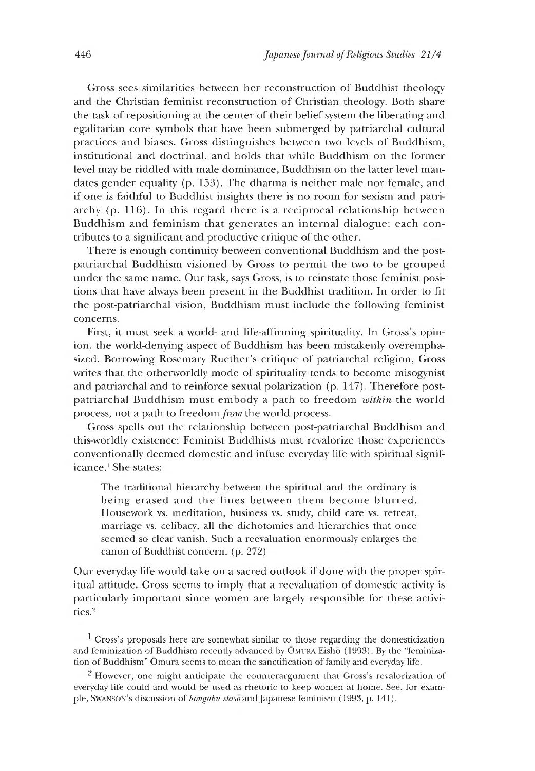Gross sees similarities between her reconstruction of Buddhist theology and the Christian feminist reconstruction of Christian theology. Both share the task of repositioning at the center of their belief system the liberating and egalitarian core symbols that have been submerged by patriarchal cultural practices and biases. Gross distinguishes between two levels of Buddhism, institutional and doctrinal, and holds that while Buddhism on the former level may be riddled with male dominance, Buddhism on the latter level mandates gender equality (p. 153). The dharma is neither male nor female, and if one is faithful to Buddhist insights there is no room for sexism and patriarchy (p. 116). In this regard there is a reciprocal relationship between Buddhism and feminism that generates an internal dialogue: each contributes to a significant and productive critique of the other.

There is enough continuity between conventional Buddhism and the postpatriarchal Buddhism visioned by Gross to permit the two to be grouped under the same name. Our task, says Gross, is to reinstate those feminist positions that have always been present in the Buddhist tradition. In order to fit the post-patriarchal vision, Buddhism must include the following feminist concerns.

First, it must seek a world- and life-affirming spirituality. In Gross's opinion, the world-denying aspect of Buddhism has been mistakenly overemphasized. Borrowing Rosemary Ruether's critique of patriarchal religion, Gross writes that the otherworldly mode of spirituality tends to become misogynist and patriarchal and to reinforce sexual polarization (p. 147). Therefore postpatriarchal Buddhism must embody a path to freedom *within* the world process, not a path to freedom *from* the world process.

Gross spells out the relationship between post-patriarchal Buddhism and this-worldly existence: Feminist Buddhists must revalorize those experiences conventionally deemed domestic and infuse everyday life with spiritual significance.<sup>1</sup> She states:

The traditional hierarchy between the spiritual and the ordinary is being erased and the lines between them become blurred. Housework vs. meditation, business vs. study, child care vs. retreat, marriage vs. celibacy, all the dichotomies and hierarchies that once seemed so clear vanish. Such a reevaluation enormously enlarges the canon of Buddhist concern, (p. 272)

Our everyday life would take on a sacred outlook if done with the proper spiritual attitude. Gross seems to imply that a reevaluation of domestic activity is particularly important since women are largely responsible for these activities.<sup>2</sup>

 $<sup>1</sup>$  Gross's proposals here are somewhat similar to those regarding the domesticization</sup> and feminization of Buddhism recently advanced by  $\bar{O}$ MURA Eishō (1993). By the "feminization of Buddhism" Omura seems to mean the sanctification of family and everyday life.

 $2$  However, one might anticipate the counterargument that Gross's revalorization of everyday life could and would be used as rhetoric to keep women at home. See, for example, Swanson's discussion of *hongaku shiso* and Japanese feminism (1993, p. 141).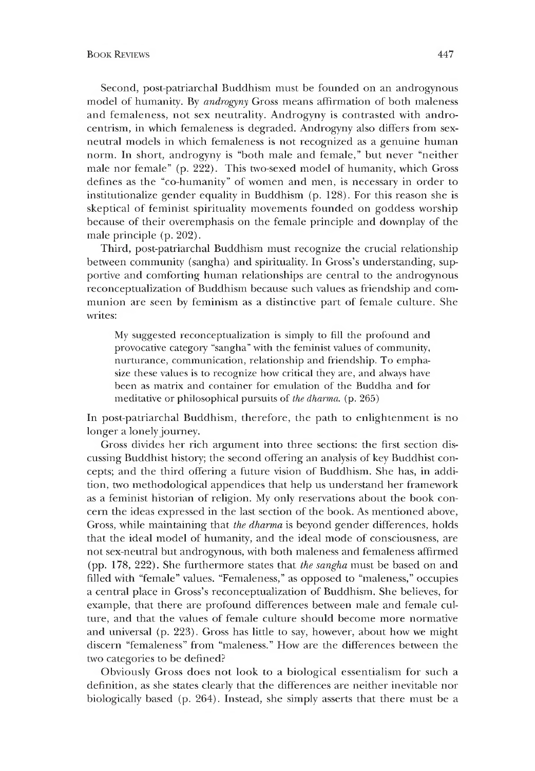Second, post-patriarchal Buddhism must be founded on an androgynous model of humanity. By *androgyny* Gross means affirmation of both maleness and femaleness, not sex neutrality. Androgyny is contrasted with androcentrism, in which femaleness is degraded. Androgyny also differs from sexneutral models in which femaleness is not recognized as a genuine human norm. In short, androgyny is "both male and female," but never "neither male nor female" (p. 222). This two-sexed model of humanity, which Gross defines as the "co-humanity" of women and men, is necessary in order to institutionalize gender equality in Buddhism (p. 128). For this reason she is skeptical of feminist spirituality movements founded on goddess worship because of their overemphasis on the female principle and downplay of the male principle (p. 202).

Third, post-patriarchal Buddhism must recognize the crucial relationship between community (sangha) and spirituality. In Gross's understanding, supportive and comforting human relationships are central to the androgynous reconceptualization of Buddhism because such values as friendship and communion are seen by feminism as a distinctive part of female culture. She writes:

My suggested reconceptualization is simply to fill the profound and provocative category "sangha" with the feminist values of community, nurturance, communication, relationship and friendship. To emphasize these values is to recognize how critical they are, and always have been as matrix and container for emulation of the Buddha and for meditative or philosophical pursuits of *the dharma.* (p. 265)

In post-patriarchal Buddhism, therefore, the path to enlightenment is no longer a lonely journey.

Gross divides her rich argument into three sections: the first section discussing Buddhist history; the second offering an analysis of key Buddhist concepts; and the third offering a future vision of Buddhism. She has, in addition, two methodological appendices that help us understand her framework as a feminist historian of religion. My only reservations about the book concern the ideas expressed in the last section of the book. As mentioned above, Gross, while maintaining that *the dharma* is beyond gender differences, holds that the ideal model of humanity, and the ideal mode of consciousness, are not sex-neutral but androgynous, with both maleness and femaleness affirmed (pp. 178, 222). She furthermore states that *the sangha* must be based on and filled with "female" values. "Femaleness," as opposed to "maleness," occupies a central place in Gross's reconceptualization of Buddhism. She believes, for example, that there are profound differences between male and female culture, and that the values of female culture should become more normative and universal (p. 223). Gross has little to say, however, about how we might discern "femaleness" from "maleness." How are the differences between the two categories to be defined?

Obviously Gross does not look to a biological essentialism for such a definition, as she states clearly that the differences are neither inevitable nor biologically based (p. 264). Instead, she simply asserts that there must be a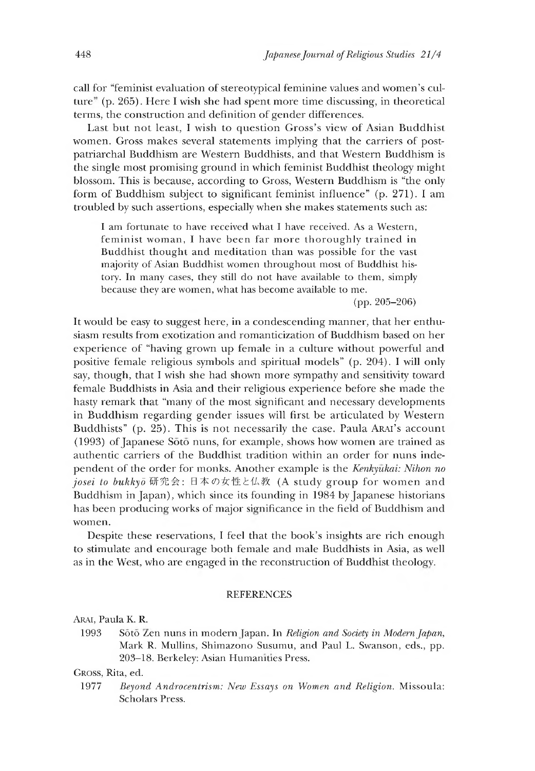call for "feminist evaluation of stereotypical feminine values and women's culture" (p. 265). Here I wish she had spent more time discussing, in theoretical terms, the construction and definition of gender differences.

Last but not least, I wish to question Gross's view of Asian Buddhist women. Gross makes several statements implying that the carriers of postpatriarchal Buddhism are Western Buddhists, and that Western Buddhism is the single most promising ground in which feminist Buddhist theology might blossom. This is because, according to Gross, Western Buddhism is "the only form of Buddhism subject to significant feminist influence" (p. 271).I am troubled by such assertions, especially when she makes statements such as:

I am fortunate to have received what I have received. As a Western, feminist woman, I have been far more thoroughly trained in Buddhist thought and meditation than was possible for the vast majority of Asian Buddhist women throughout most of Buddhist history. In many cases, they still do not have available to them, simply because they are women, what has become available to me.

(pp. 205-206)

It would be easy to suggest here, in a condescending manner, that her enthusiasm results from exotization and romanticization of Buddhism based on her experience of "having grown up female in a culture without powerful and positive female religious symbols and spiritual models" (p. 204). I will only say, though, that I wish she had shown more sympathy and sensitivity toward female Buddhists in Asia and their religious experience before she made the hasty remark that "many of the most significant and necessary developments in Buddhism regarding gender issues will first be articulated by Western Buddhists" (p. 25). This is not necessarily the case. Paula Arai's account (1993) of Japanese Soto nuns, for example, shows how women are trained as authentic carriers of the Buddhist tradition within an order for nuns independent of the order for monks. Another example is the *Kenkyukai: Nihon no jo sei to bukkyd* 研究会:日本の女性と仏教(A study group for women and Buddhism in Japan), which since its founding in 1984 by Japanese historians has been producing works of major significance in the field of Buddhism and women.

Despite these reservations, I feel that the book's insights are rich enough to stimulate and encourage both female and male Buddhists in Asia, as well as in the West, who are engaged in the reconstruction of Buddhist theology.

## **REFERENCES**

Arai, Paula K. R.

1993 Soto Zen nuns in modern Japan. In *Religion and Society in Modern Japan*, Mark R. Mullins, Shimazono Susumu, and Paul L. Swanson, eds., pp. 203-18. Berkeley: Asian Humanities Press.

Gross, Rita, ed.

1977 *Beyond Androcentrism: New Essays on Women and Religion.* Missoula: Scholars Press.